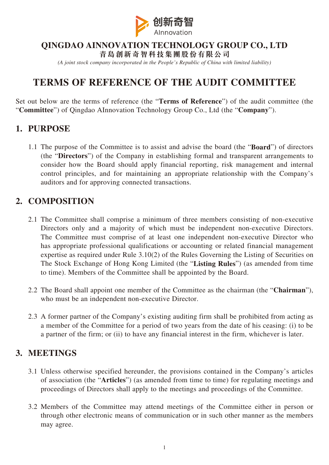

#### **QINGDAO AINNOVATION TECHNOLOGY GROUP CO., LTD**

**青島創新奇智科技集團股份有限公司** *(A joint stock company incorporated in the People's Republic of China with limited liability)*

# **TERMS OF REFERENCE OF THE AUDIT COMMITTEE**

Set out below are the terms of reference (the "**Terms of Reference**") of the audit committee (the "**Committee**") of Qingdao AInnovation Technology Group Co., Ltd (the "**Company**").

## **1. PURPOSE**

1.1 The purpose of the Committee is to assist and advise the board (the "**Board**") of directors (the "**Directors**") of the Company in establishing formal and transparent arrangements to consider how the Board should apply financial reporting, risk management and internal control principles, and for maintaining an appropriate relationship with the Company's auditors and for approving connected transactions.

## **2. COMPOSITION**

- 2.1 The Committee shall comprise a minimum of three members consisting of non-executive Directors only and a majority of which must be independent non-executive Directors. The Committee must comprise of at least one independent non-executive Director who has appropriate professional qualifications or accounting or related financial management expertise as required under Rule 3.10(2) of the Rules Governing the Listing of Securities on The Stock Exchange of Hong Kong Limited (the "**Listing Rules**") (as amended from time to time). Members of the Committee shall be appointed by the Board.
- 2.2 The Board shall appoint one member of the Committee as the chairman (the "**Chairman**"), who must be an independent non-executive Director.
- 2.3 A former partner of the Company's existing auditing firm shall be prohibited from acting as a member of the Committee for a period of two years from the date of his ceasing: (i) to be a partner of the firm; or (ii) to have any financial interest in the firm, whichever is later.

#### **3. MEETINGS**

- 3.1 Unless otherwise specified hereunder, the provisions contained in the Company's articles of association (the "**Articles**") (as amended from time to time) for regulating meetings and proceedings of Directors shall apply to the meetings and proceedings of the Committee.
- 3.2 Members of the Committee may attend meetings of the Committee either in person or through other electronic means of communication or in such other manner as the members may agree.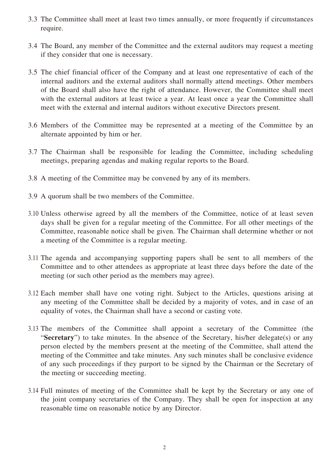- 3.3 The Committee shall meet at least two times annually, or more frequently if circumstances require.
- 3.4 The Board, any member of the Committee and the external auditors may request a meeting if they consider that one is necessary.
- 3.5 The chief financial officer of the Company and at least one representative of each of the internal auditors and the external auditors shall normally attend meetings. Other members of the Board shall also have the right of attendance. However, the Committee shall meet with the external auditors at least twice a year. At least once a year the Committee shall meet with the external and internal auditors without executive Directors present.
- 3.6 Members of the Committee may be represented at a meeting of the Committee by an alternate appointed by him or her.
- 3.7 The Chairman shall be responsible for leading the Committee, including scheduling meetings, preparing agendas and making regular reports to the Board.
- 3.8 A meeting of the Committee may be convened by any of its members.
- 3.9 A quorum shall be two members of the Committee.
- 3.10 Unless otherwise agreed by all the members of the Committee, notice of at least seven days shall be given for a regular meeting of the Committee. For all other meetings of the Committee, reasonable notice shall be given. The Chairman shall determine whether or not a meeting of the Committee is a regular meeting.
- 3.11 The agenda and accompanying supporting papers shall be sent to all members of the Committee and to other attendees as appropriate at least three days before the date of the meeting (or such other period as the members may agree).
- 3.12 Each member shall have one voting right. Subject to the Articles, questions arising at any meeting of the Committee shall be decided by a majority of votes, and in case of an equality of votes, the Chairman shall have a second or casting vote.
- 3.13 The members of the Committee shall appoint a secretary of the Committee (the "**Secretary**") to take minutes. In the absence of the Secretary, his/her delegate(s) or any person elected by the members present at the meeting of the Committee, shall attend the meeting of the Committee and take minutes. Any such minutes shall be conclusive evidence of any such proceedings if they purport to be signed by the Chairman or the Secretary of the meeting or succeeding meeting.
- 3.14 Full minutes of meeting of the Committee shall be kept by the Secretary or any one of the joint company secretaries of the Company. They shall be open for inspection at any reasonable time on reasonable notice by any Director.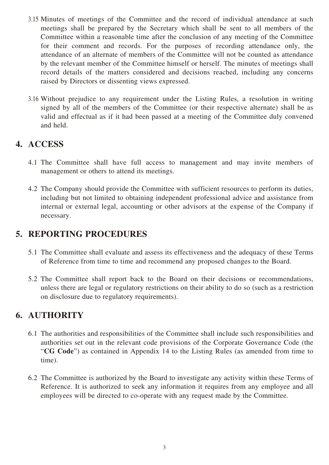- 3.15 Minutes of meetings of the Committee and the record of individual attendance at such meetings shall be prepared by the Secretary which shall be sent to all members of the Committee within a reasonable time after the conclusion of any meeting of the Committee for their comment and records. For the purposes of recording attendance only, the attendance of an alternate of members of the Committee will not be counted as attendance by the relevant member of the Committee himself or herself. The minutes of meetings shall record details of the matters considered and decisions reached, including any concerns raised by Directors or dissenting views expressed.
- 3.16 Without prejudice to any requirement under the Listing Rules, a resolution in writing signed by all of the members of the Committee (or their respective alternate) shall be as valid and effectual as if it had been passed at a meeting of the Committee duly convened and held.

# **4. ACCESS**

- 4.1 The Committee shall have full access to management and may invite members of management or others to attend its meetings.
- 4.2 The Company should provide the Committee with sufficient resources to perform its duties, including but not limited to obtaining independent professional advice and assistance from internal or external legal, accounting or other advisors at the expense of the Company if necessary.

#### **5. REPORTING PROCEDURES**

- 5.1 The Committee shall evaluate and assess its effectiveness and the adequacy of these Terms of Reference from time to time and recommend any proposed changes to the Board.
- 5.2 The Committee shall report back to the Board on their decisions or recommendations, unless there are legal or regulatory restrictions on their ability to do so (such as a restriction on disclosure due to regulatory requirements).

## **6. AUTHORITY**

- 6.1 The authorities and responsibilities of the Committee shall include such responsibilities and authorities set out in the relevant code provisions of the Corporate Governance Code (the "**CG Code**") as contained in Appendix 14 to the Listing Rules (as amended from time to time).
- 6.2 The Committee is authorized by the Board to investigate any activity within these Terms of Reference. It is authorized to seek any information it requires from any employee and all employees will be directed to co-operate with any request made by the Committee.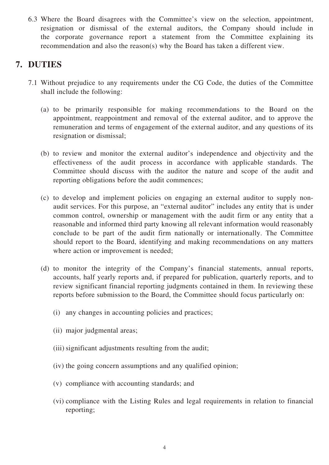6.3 Where the Board disagrees with the Committee's view on the selection, appointment, resignation or dismissal of the external auditors, the Company should include in the corporate governance report a statement from the Committee explaining its recommendation and also the reason(s) why the Board has taken a different view.

## **7. DUTIES**

- 7.1 Without prejudice to any requirements under the CG Code, the duties of the Committee shall include the following:
	- (a) to be primarily responsible for making recommendations to the Board on the appointment, reappointment and removal of the external auditor, and to approve the remuneration and terms of engagement of the external auditor, and any questions of its resignation or dismissal;
	- (b) to review and monitor the external auditor's independence and objectivity and the effectiveness of the audit process in accordance with applicable standards. The Committee should discuss with the auditor the nature and scope of the audit and reporting obligations before the audit commences;
	- (c) to develop and implement policies on engaging an external auditor to supply nonaudit services. For this purpose, an "external auditor" includes any entity that is under common control, ownership or management with the audit firm or any entity that a reasonable and informed third party knowing all relevant information would reasonably conclude to be part of the audit firm nationally or internationally. The Committee should report to the Board, identifying and making recommendations on any matters where action or improvement is needed;
	- (d) to monitor the integrity of the Company's financial statements, annual reports, accounts, half yearly reports and, if prepared for publication, quarterly reports, and to review significant financial reporting judgments contained in them. In reviewing these reports before submission to the Board, the Committee should focus particularly on:
		- (i) any changes in accounting policies and practices;
		- (ii) major judgmental areas;
		- (iii) significant adjustments resulting from the audit;
		- (iv) the going concern assumptions and any qualified opinion;
		- (v) compliance with accounting standards; and
		- (vi) compliance with the Listing Rules and legal requirements in relation to financial reporting;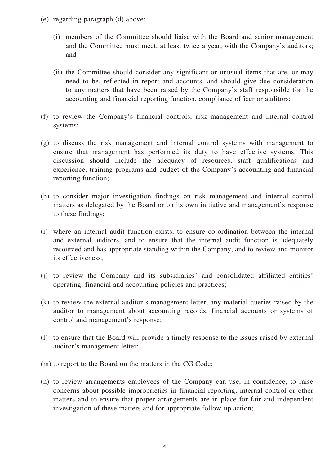- (e) regarding paragraph (d) above:
	- (i) members of the Committee should liaise with the Board and senior management and the Committee must meet, at least twice a year, with the Company's auditors; and
	- (ii) the Committee should consider any significant or unusual items that are, or may need to be, reflected in report and accounts, and should give due consideration to any matters that have been raised by the Company's staff responsible for the accounting and financial reporting function, compliance officer or auditors;
- (f) to review the Company's financial controls, risk management and internal control systems;
- (g) to discuss the risk management and internal control systems with management to ensure that management has performed its duty to have effective systems. This discussion should include the adequacy of resources, staff qualifications and experience, training programs and budget of the Company's accounting and financial reporting function;
- (h) to consider major investigation findings on risk management and internal control matters as delegated by the Board or on its own initiative and management's response to these findings;
- (i) where an internal audit function exists, to ensure co-ordination between the internal and external auditors, and to ensure that the internal audit function is adequately resourced and has appropriate standing within the Company, and to review and monitor its effectiveness;
- (j) to review the Company and its subsidiaries' and consolidated affiliated entities' operating, financial and accounting policies and practices;
- (k) to review the external auditor's management letter, any material queries raised by the auditor to management about accounting records, financial accounts or systems of control and management's response;
- (l) to ensure that the Board will provide a timely response to the issues raised by external auditor's management letter;
- (m) to report to the Board on the matters in the CG Code;
- (n) to review arrangements employees of the Company can use, in confidence, to raise concerns about possible improprieties in financial reporting, internal control or other matters and to ensure that proper arrangements are in place for fair and independent investigation of these matters and for appropriate follow-up action;